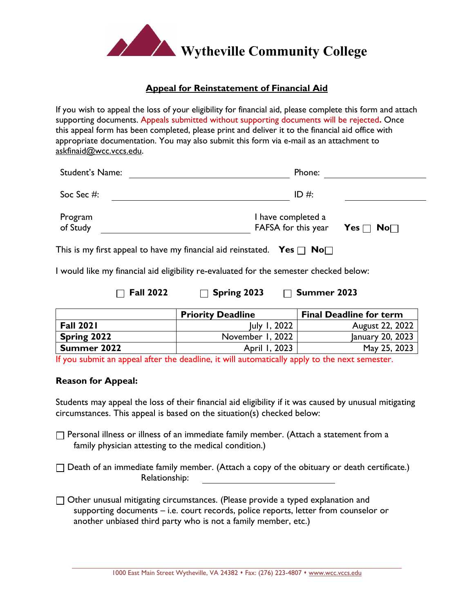

## **Appeal for Reinstatement of Financial Aid**

If you wish to appeal the loss of your eligibility for financial aid, please complete this form and attach supporting documents. Appeals submitted without supporting documents will be rejected**.** Once this appeal form has been completed, please print and deliver it to the financial aid office with appropriate documentation. You may also submit this form via e-mail as an attachment to askfinaid@wcc.vccs.edu.

| Student's Name:     | Phone:                                    |                      |
|---------------------|-------------------------------------------|----------------------|
| Soc Sec #:          | ID #:                                     |                      |
| Program<br>of Study | I have completed a<br>FAFSA for this year | Yes $\Box$ No $\Box$ |

This is my first appeal to have my financial aid reinstated. **Yes**  $\Box$  **No** $\Box$ 

I would like my financial aid eligibility re-evaluated for the semester checked below:

**Fall 2022 Spring 2023 Summer 2023**

|                    | <b>Priority Deadline</b> | <b>Final Deadline for term</b> |
|--------------------|--------------------------|--------------------------------|
| <b>Fall 2021</b>   | July 1, 2022             | August 22, 2022                |
| Spring 2022        | November 1, 2022         | January 20, 2023               |
| <b>Summer 2022</b> | April 1, 2023            | May 25, 2023                   |

If you submit an appeal after the deadline, it will automatically apply to the next semester.

## **Reason for Appeal:**

Students may appeal the loss of their financial aid eligibility if it was caused by unusual mitigating circumstances. This appeal is based on the situation(s) checked below:

- $\Box$  Personal illness or illness of an immediate family member. (Attach a statement from a family physician attesting to the medical condition.)
- $\Box$  Death of an immediate family member. (Attach a copy of the obituary or death certificate.) Relationship:
- $\Box$  Other unusual mitigating circumstances. (Please provide a typed explanation and supporting documents – i.e. court records, police reports, letter from counselor or another unbiased third party who is not a family member, etc.)